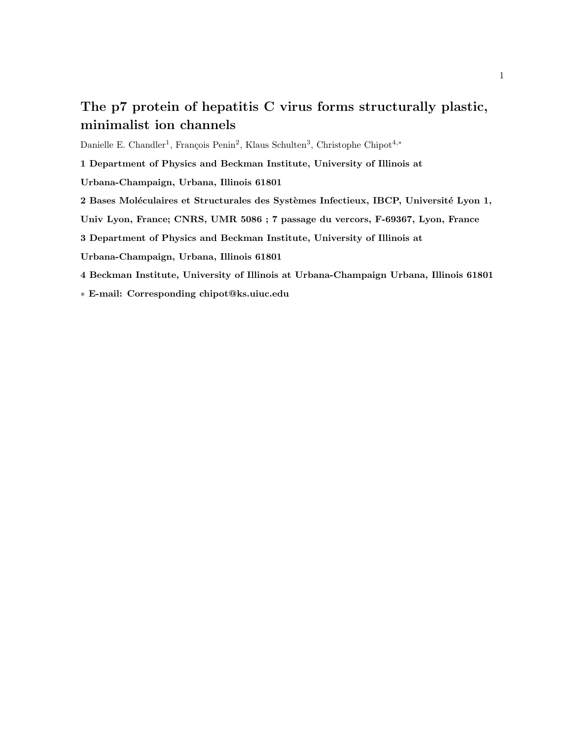# The p7 protein of hepatitis C virus forms structurally plastic, minimalist ion channels

Danielle E. Chandler<sup>1</sup>, François Penin<sup>2</sup>, Klaus Schulten<sup>3</sup>, Christophe Chipot<sup>4,\*</sup>

1 Department of Physics and Beckman Institute, University of Illinois at

Urbana-Champaign, Urbana, Illinois 61801

2 Bases Moléculaires et Structurales des Systèmes Infectieux, IBCP, Université Lyon 1,

Univ Lyon, France; CNRS, UMR 5086 ; 7 passage du vercors, F-69367, Lyon, France

3 Department of Physics and Beckman Institute, University of Illinois at

Urbana-Champaign, Urbana, Illinois 61801

4 Beckman Institute, University of Illinois at Urbana-Champaign Urbana, Illinois 61801

∗ E-mail: Corresponding chipot@ks.uiuc.edu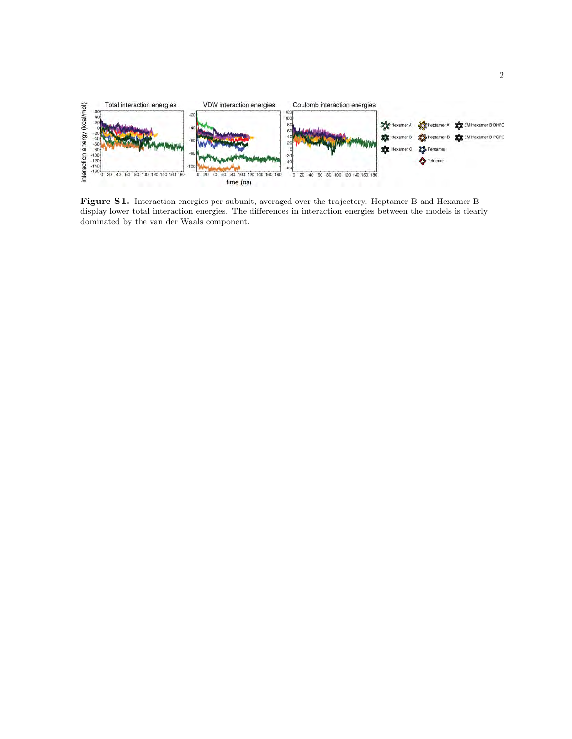

Figure S1. Interaction energies per subunit, averaged over the trajectory. Heptamer B and Hexamer B display lower total interaction energies. The differences in interaction energies between the models is clearly dominated by the van der Waals component.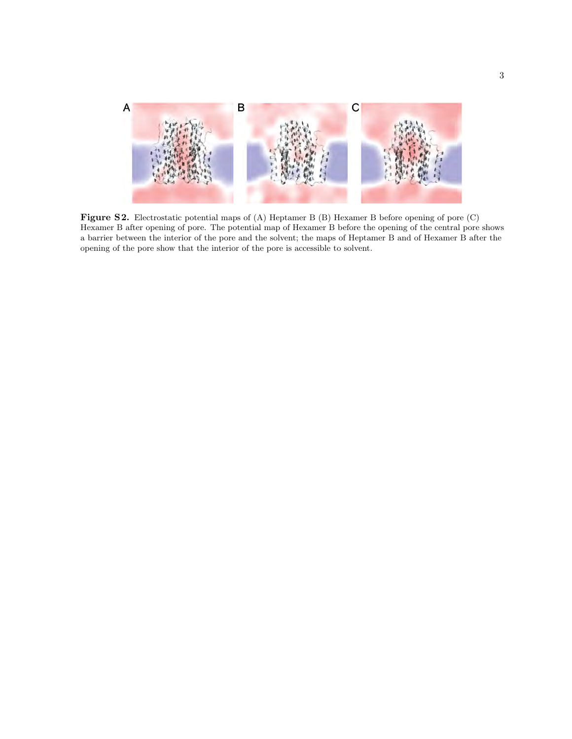

Figure S2. Electrostatic potential maps of (A) Heptamer B (B) Hexamer B before opening of pore (C) Hexamer B after opening of pore. The potential map of Hexamer B before the opening of the central pore shows a barrier between the interior of the pore and the solvent; the maps of Heptamer B and of Hexamer B after the opening of the pore show that the interior of the pore is accessible to solvent.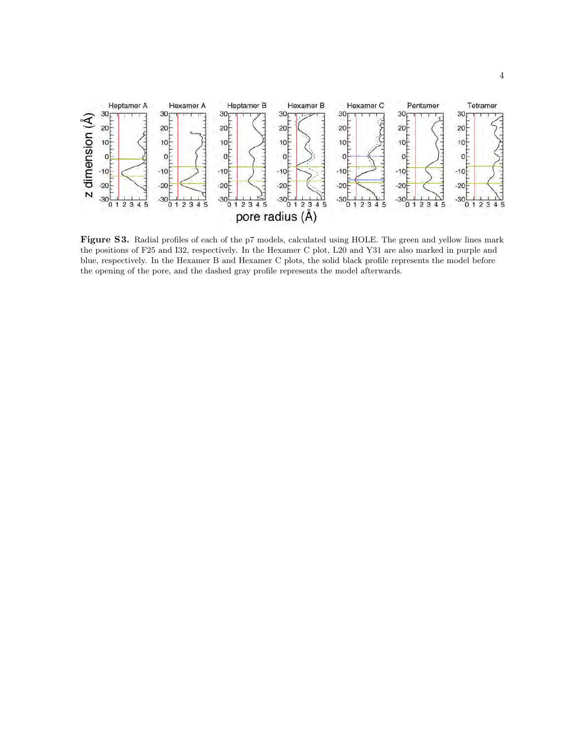

Figure S3. Radial profiles of each of the p7 models, calculated using HOLE. The green and yellow lines mark the positions of F25 and I32, respectively. In the Hexamer C plot, L20 and Y31 are also marked in purple and blue, respectively. In the Hexamer B and Hexamer C plots, the solid black profile represents the model before the opening of the pore, and the dashed gray profile represents the model afterwards.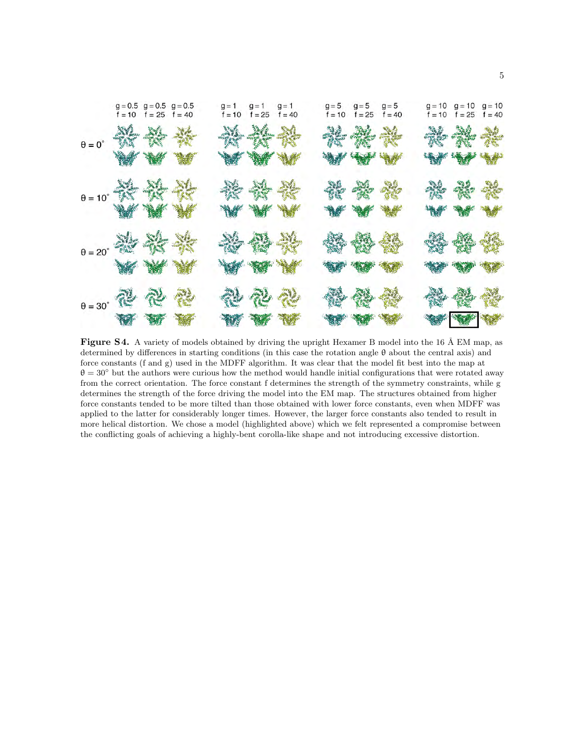

Figure S4. A variety of models obtained by driving the upright Hexamer B model into the 16 Å EM map, as determined by differences in starting conditions (in this case the rotation angle θ about the central axis) and force constants (f and g) used in the MDFF algorithm. It was clear that the model fit best into the map at  $\theta = 30^{\circ}$  but the authors were curious how the method would handle initial configurations that were rotated away from the correct orientation. The force constant f determines the strength of the symmetry constraints, while g determines the strength of the force driving the model into the EM map. The structures obtained from higher force constants tended to be more tilted than those obtained with lower force constants, even when MDFF was applied to the latter for considerably longer times. However, the larger force constants also tended to result in more helical distortion. We chose a model (highlighted above) which we felt represented a compromise between the conflicting goals of achieving a highly-bent corolla-like shape and not introducing excessive distortion.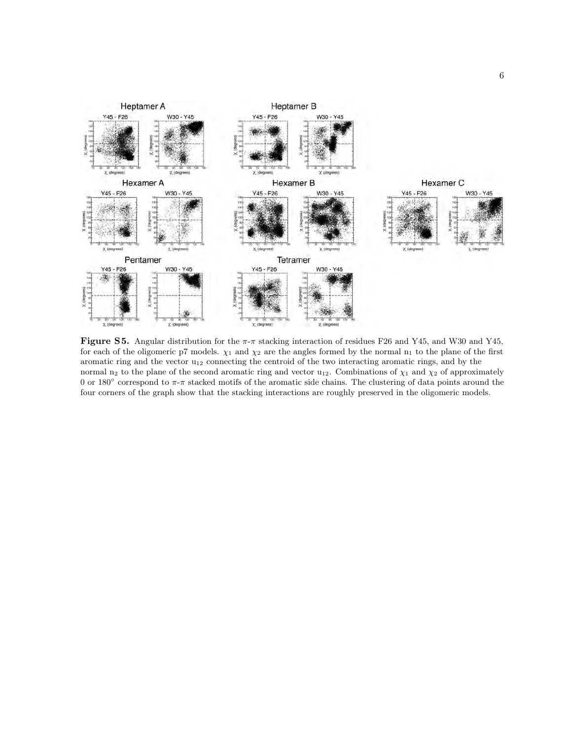

**Figure S5.** Angular distribution for the  $\pi$ - $\pi$  stacking interaction of residues F26 and Y45, and W30 and Y45, for each of the oligomeric p7 models.  $\chi_1$  and  $\chi_2$  are the angles formed by the normal  $n_1$  to the plane of the first aromatic ring and the vector  $u_{12}$  connecting the centroid of the two interacting aromatic rings, and by the normal n<sub>2</sub> to the plane of the second aromatic ring and vector u<sub>12</sub>. Combinations of  $\chi_1$  and  $\chi_2$  of approximately 0 or 180 $\degree$  correspond to  $\pi$ - $\pi$  stacked motifs of the aromatic side chains. The clustering of data points around the four corners of the graph show that the stacking interactions are roughly preserved in the oligomeric models.